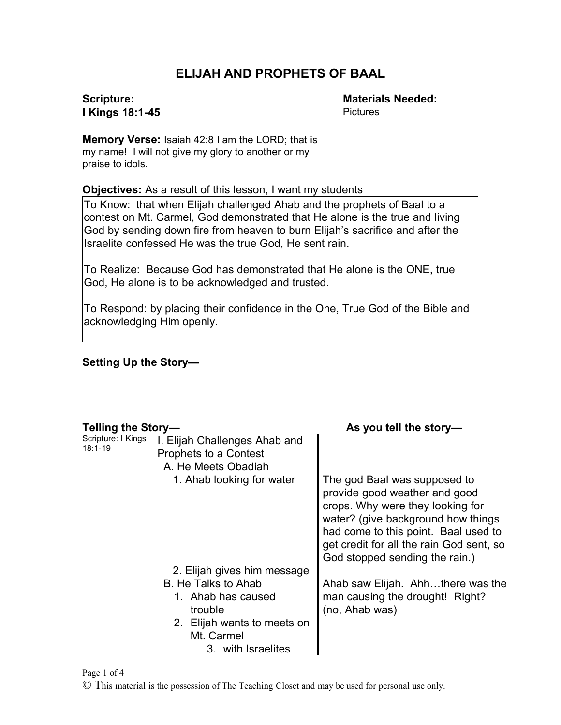# **ELIJAH AND PROPHETS OF BAAL**

#### **Scripture: I Kings 18:1-45**

**Materials Needed: Pictures** 

**Memory Verse:** Isaiah 42:8 I am the LORD; that is my name! I will not give my glory to another or my praise to idols.

**Objectives:** As a result of this lesson, I want my students

To Know: that when Elijah challenged Ahab and the prophets of Baal to a contest on Mt. Carmel, God demonstrated that He alone is the true and living God by sending down fire from heaven to burn Elijah's sacrifice and after the Israelite confessed He was the true God, He sent rain.

To Realize: Because God has demonstrated that He alone is the ONE, true God, He alone is to be acknowledged and trusted.

To Respond: by placing their confidence in the One, True God of the Bible and acknowledging Him openly.

#### **Setting Up the Story—**

| Telling the Story-                |                                                                                                                         | As you tell the story-                                                                                                                                                                                                                                        |
|-----------------------------------|-------------------------------------------------------------------------------------------------------------------------|---------------------------------------------------------------------------------------------------------------------------------------------------------------------------------------------------------------------------------------------------------------|
| Scripture: I Kings<br>$18:1 - 19$ | I. Elijah Challenges Ahab and<br>Prophets to a Contest<br>A. He Meets Obadiah                                           |                                                                                                                                                                                                                                                               |
|                                   | 1. Ahab looking for water                                                                                               | The god Baal was supposed to<br>provide good weather and good<br>crops. Why were they looking for<br>water? (give background how things<br>had come to this point. Baal used to<br>get credit for all the rain God sent, so<br>God stopped sending the rain.) |
|                                   | 2. Elijah gives him message                                                                                             |                                                                                                                                                                                                                                                               |
|                                   | B. He Talks to Ahab<br>1. Ahab has caused<br>trouble<br>2. Elijah wants to meets on<br>Mt. Carmel<br>3. with Israelites | Ahab saw Elijah. Ahhthere was the<br>man causing the drought! Right?<br>(no, Ahab was)                                                                                                                                                                        |

Page 1 of 4

© This material is the possession of The Teaching Closet and may be used for personal use only.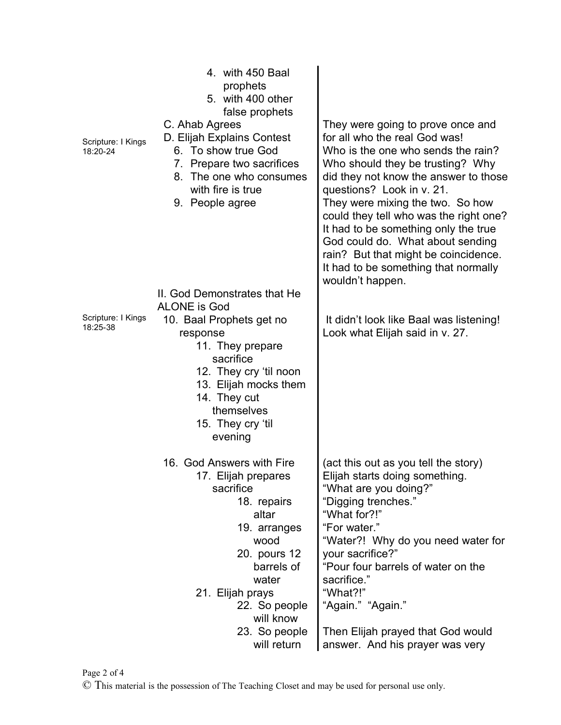| Scripture: I Kings<br>18:20-24 | 4. with 450 Baal<br>prophets<br>5. with 400 other<br>false prophets<br>C. Ahab Agrees<br>D. Elijah Explains Contest<br>6. To show true God<br>7. Prepare two sacrifices<br>8. The one who consumes<br>with fire is true<br>9. People agree    | They were going to prove once and<br>for all who the real God was!<br>Who is the one who sends the rain?<br>Who should they be trusting? Why<br>did they not know the answer to those<br>questions? Look in v. 21.<br>They were mixing the two. So how<br>could they tell who was the right one?<br>It had to be something only the true<br>God could do. What about sending<br>rain? But that might be coincidence.<br>It had to be something that normally<br>wouldn't happen. |
|--------------------------------|-----------------------------------------------------------------------------------------------------------------------------------------------------------------------------------------------------------------------------------------------|----------------------------------------------------------------------------------------------------------------------------------------------------------------------------------------------------------------------------------------------------------------------------------------------------------------------------------------------------------------------------------------------------------------------------------------------------------------------------------|
| Scripture: I Kings<br>18:25-38 | II. God Demonstrates that He<br><b>ALONE</b> is God<br>10. Baal Prophets get no<br>response<br>11. They prepare<br>sacrifice<br>12. They cry 'til noon<br>13. Elijah mocks them<br>14. They cut<br>themselves<br>15. They cry 'til<br>evening | It didn't look like Baal was listening!<br>Look what Elijah said in v. 27.                                                                                                                                                                                                                                                                                                                                                                                                       |
|                                | 16. God Answers with Fire<br>17. Elijah prepares<br>sacrifice<br>18. repairs<br>altar<br>19. arranges<br>wood<br>20. pours 12<br>barrels of<br>water<br>21. Elijah prays<br>22. So people<br>will know<br>23. So people<br>will return        | (act this out as you tell the story)<br>Elijah starts doing something.<br>"What are you doing?"<br>"Digging trenches."<br>"What for?!"<br>"For water."<br>"Water?! Why do you need water for<br>your sacrifice?"<br>"Pour four barrels of water on the<br>sacrifice."<br>"What?!"<br>"Again." "Again."<br>Then Elijah prayed that God would<br>answer. And his prayer was very                                                                                                   |

Page 2 of 4

© This material is the possession of The Teaching Closet and may be used for personal use only.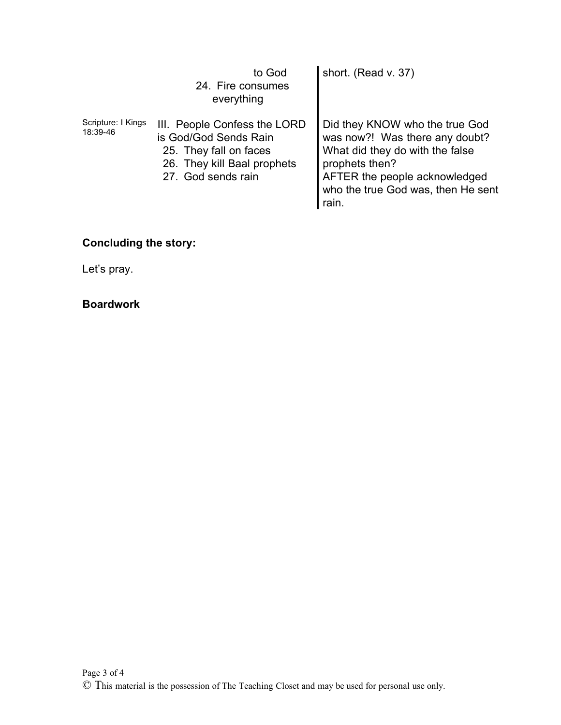|                                | to God<br>24. Fire consumes<br>everything                                                                                            | short. (Read v. 37)                                                                                                                                                                                   |
|--------------------------------|--------------------------------------------------------------------------------------------------------------------------------------|-------------------------------------------------------------------------------------------------------------------------------------------------------------------------------------------------------|
| Scripture: I Kings<br>18:39-46 | III. People Confess the LORD<br>is God/God Sends Rain<br>25. They fall on faces<br>26. They kill Baal prophets<br>27. God sends rain | Did they KNOW who the true God<br>was now?! Was there any doubt?<br>What did they do with the false<br>prophets then?<br>AFTER the people acknowledged<br>who the true God was, then He sent<br>rain. |

## **Concluding the story:**

Let's pray.

## **Boardwork**